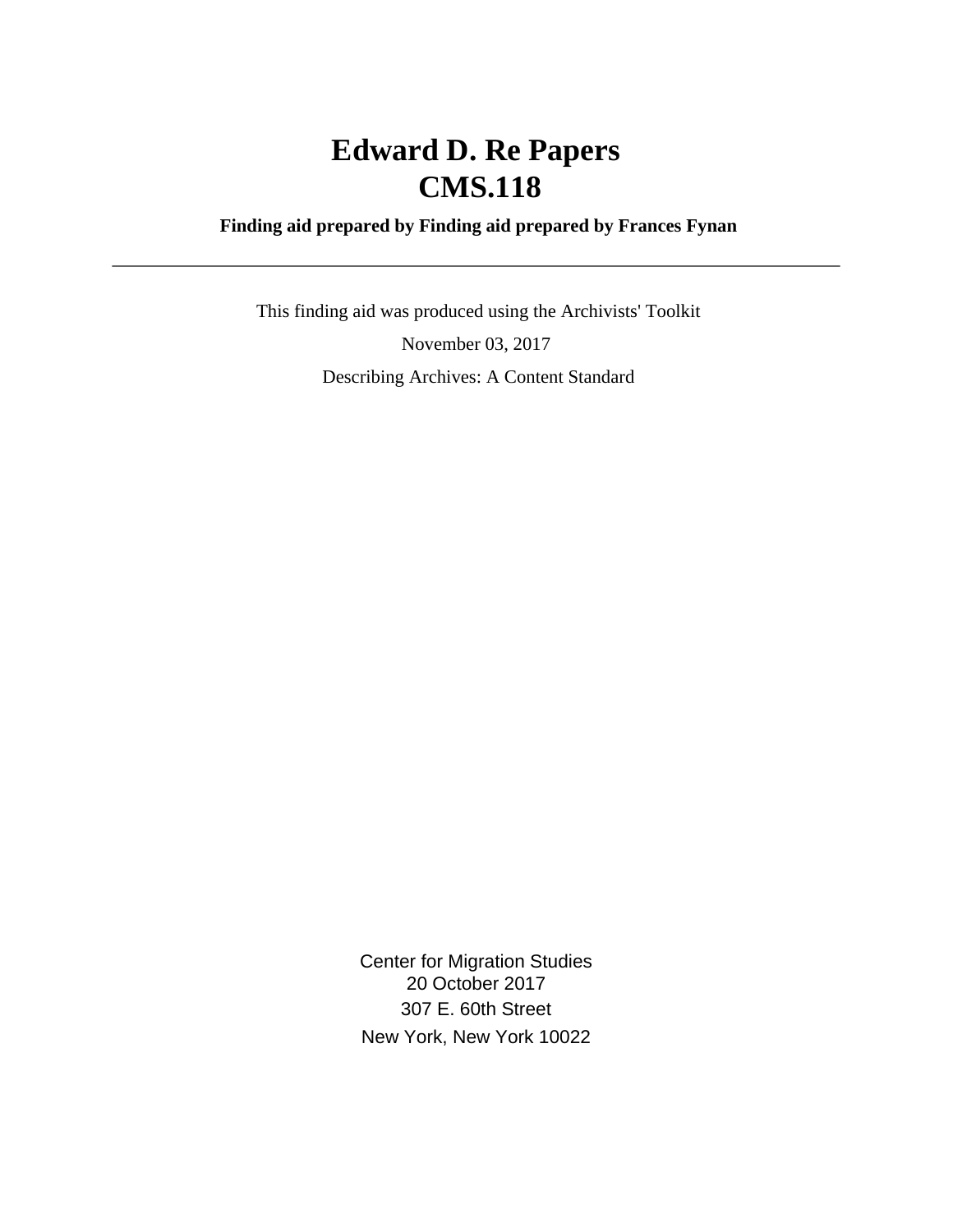# **Edward D. Re Papers CMS.118**

### **Finding aid prepared by Finding aid prepared by Frances Fynan**

 This finding aid was produced using the Archivists' Toolkit November 03, 2017 Describing Archives: A Content Standard

> Center for Migration Studies 20 October 2017 307 E. 60th Street New York, New York 10022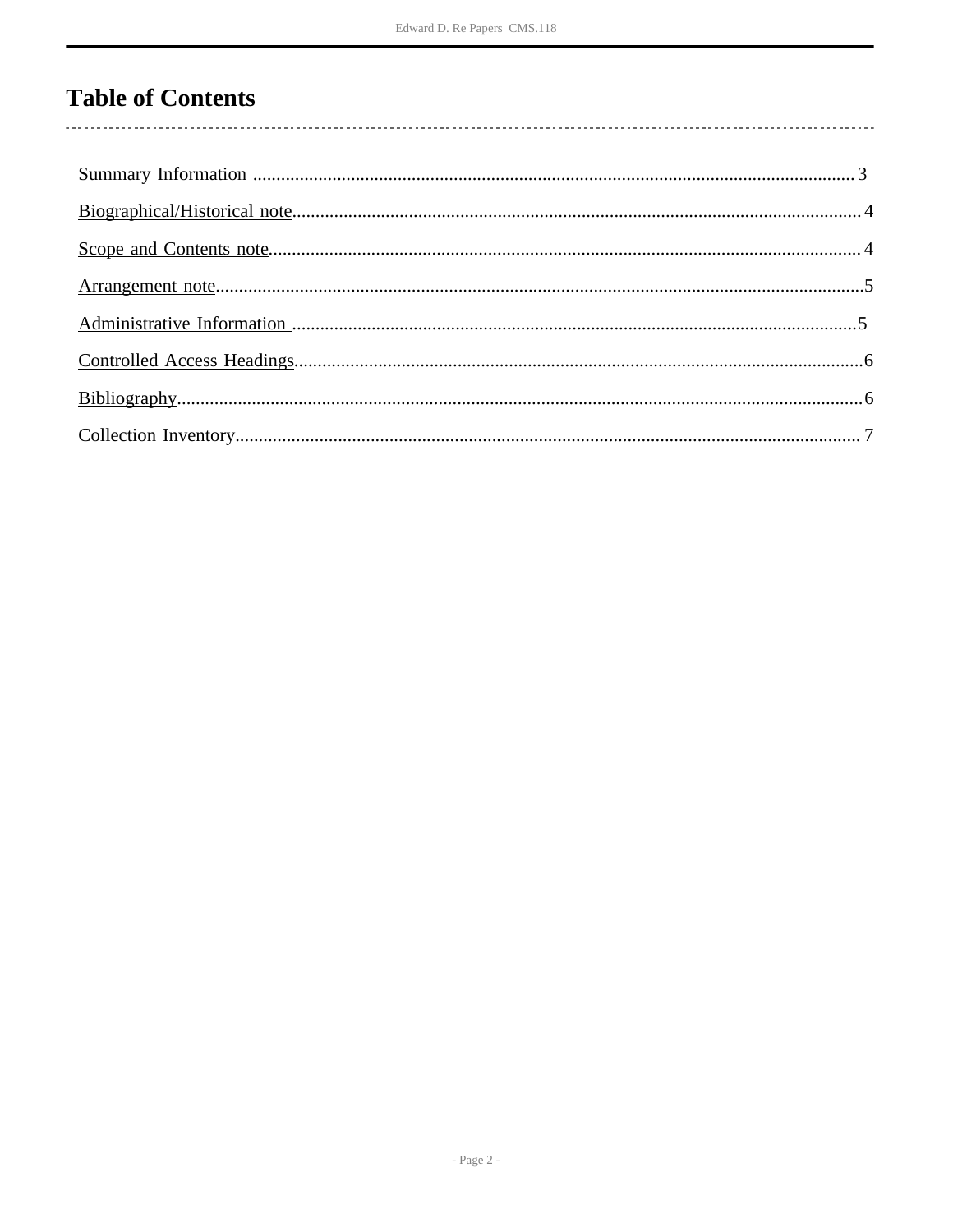## **Table of Contents**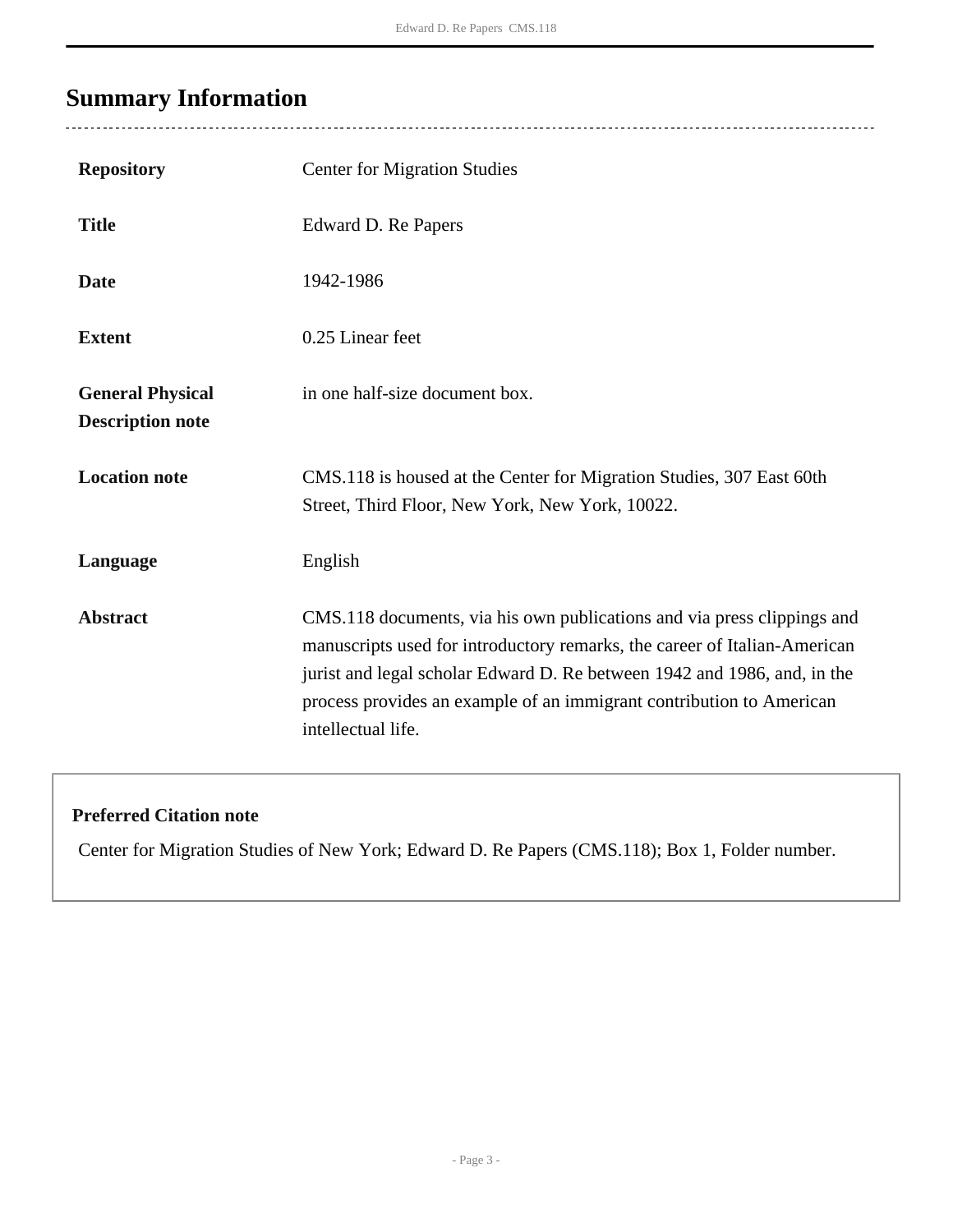## <span id="page-2-0"></span>**Summary Information**

| <b>Repository</b>                                  | <b>Center for Migration Studies</b>                                                                                                                                                                                                                                                                                            |
|----------------------------------------------------|--------------------------------------------------------------------------------------------------------------------------------------------------------------------------------------------------------------------------------------------------------------------------------------------------------------------------------|
| <b>Title</b>                                       | Edward D. Re Papers                                                                                                                                                                                                                                                                                                            |
| <b>Date</b>                                        | 1942-1986                                                                                                                                                                                                                                                                                                                      |
| <b>Extent</b>                                      | 0.25 Linear feet                                                                                                                                                                                                                                                                                                               |
| <b>General Physical</b><br><b>Description note</b> | in one half-size document box.                                                                                                                                                                                                                                                                                                 |
| <b>Location note</b>                               | CMS.118 is housed at the Center for Migration Studies, 307 East 60th<br>Street, Third Floor, New York, New York, 10022.                                                                                                                                                                                                        |
| Language                                           | English                                                                                                                                                                                                                                                                                                                        |
| <b>Abstract</b>                                    | CMS.118 documents, via his own publications and via press clippings and<br>manuscripts used for introductory remarks, the career of Italian-American<br>jurist and legal scholar Edward D. Re between 1942 and 1986, and, in the<br>process provides an example of an immigrant contribution to American<br>intellectual life. |

### **Preferred Citation note**

Center for Migration Studies of New York; Edward D. Re Papers (CMS.118); Box 1, Folder number.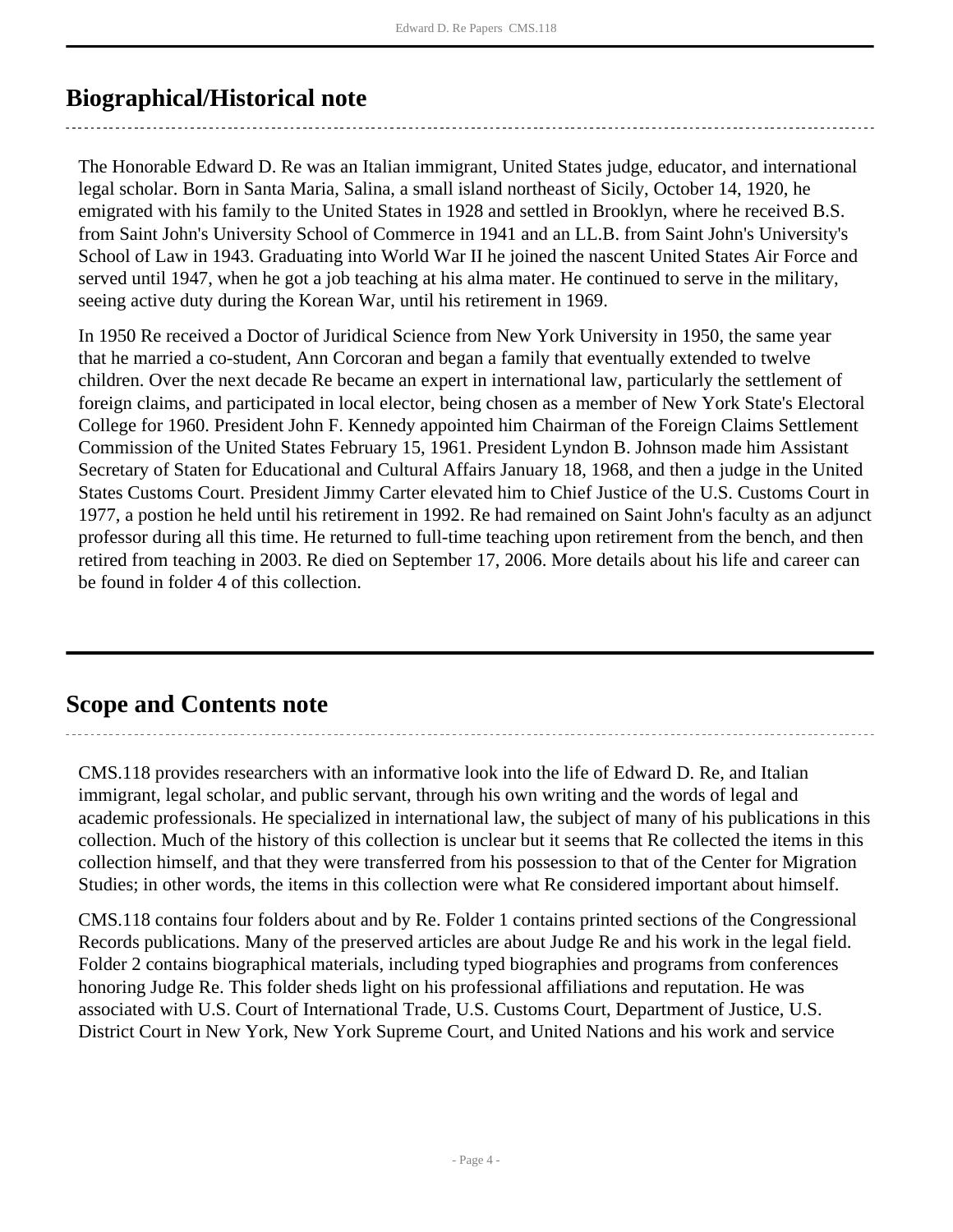### <span id="page-3-0"></span>**Biographical/Historical note**

The Honorable Edward D. Re was an Italian immigrant, United States judge, educator, and international legal scholar. Born in Santa Maria, Salina, a small island northeast of Sicily, October 14, 1920, he emigrated with his family to the United States in 1928 and settled in Brooklyn, where he received B.S. from Saint John's University School of Commerce in 1941 and an LL.B. from Saint John's University's School of Law in 1943. Graduating into World War II he joined the nascent United States Air Force and served until 1947, when he got a job teaching at his alma mater. He continued to serve in the military, seeing active duty during the Korean War, until his retirement in 1969.

In 1950 Re received a Doctor of Juridical Science from New York University in 1950, the same year that he married a co-student, Ann Corcoran and began a family that eventually extended to twelve children. Over the next decade Re became an expert in international law, particularly the settlement of foreign claims, and participated in local elector, being chosen as a member of New York State's Electoral College for 1960. President John F. Kennedy appointed him Chairman of the Foreign Claims Settlement Commission of the United States February 15, 1961. President Lyndon B. Johnson made him Assistant Secretary of Staten for Educational and Cultural Affairs January 18, 1968, and then a judge in the United States Customs Court. President Jimmy Carter elevated him to Chief Justice of the U.S. Customs Court in 1977, a postion he held until his retirement in 1992. Re had remained on Saint John's faculty as an adjunct professor during all this time. He returned to full-time teaching upon retirement from the bench, and then retired from teaching in 2003. Re died on September 17, 2006. More details about his life and career can be found in folder 4 of this collection.

### <span id="page-3-1"></span>**Scope and Contents note**

CMS.118 provides researchers with an informative look into the life of Edward D. Re, and Italian immigrant, legal scholar, and public servant, through his own writing and the words of legal and academic professionals. He specialized in international law, the subject of many of his publications in this collection. Much of the history of this collection is unclear but it seems that Re collected the items in this collection himself, and that they were transferred from his possession to that of the Center for Migration Studies; in other words, the items in this collection were what Re considered important about himself.

CMS.118 contains four folders about and by Re. Folder 1 contains printed sections of the Congressional Records publications. Many of the preserved articles are about Judge Re and his work in the legal field. Folder 2 contains biographical materials, including typed biographies and programs from conferences honoring Judge Re. This folder sheds light on his professional affiliations and reputation. He was associated with U.S. Court of International Trade, U.S. Customs Court, Department of Justice, U.S. District Court in New York, New York Supreme Court, and United Nations and his work and service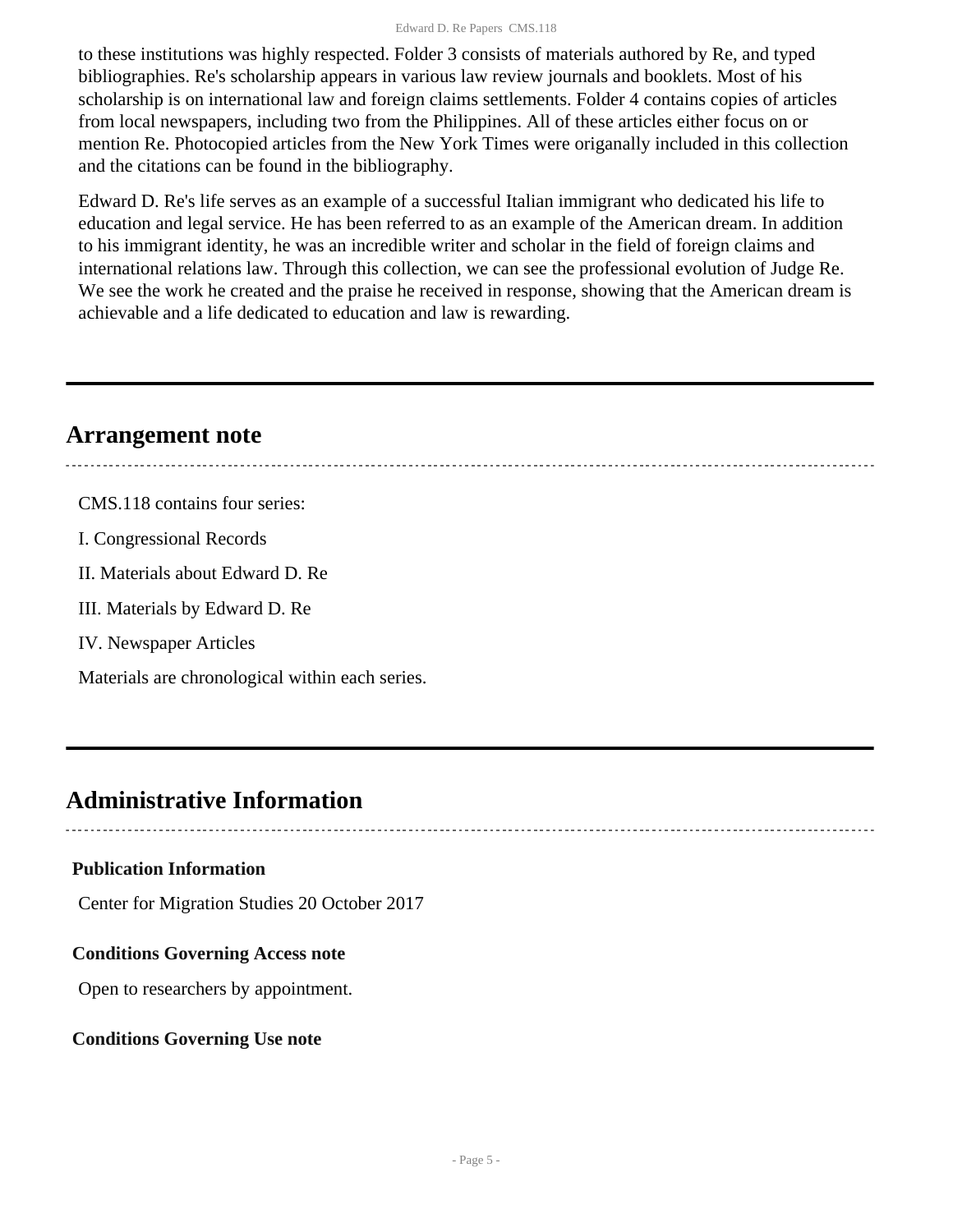#### Edward D. Re Papers CMS.118

to these institutions was highly respected. Folder 3 consists of materials authored by Re, and typed bibliographies. Re's scholarship appears in various law review journals and booklets. Most of his scholarship is on international law and foreign claims settlements. Folder 4 contains copies of articles from local newspapers, including two from the Philippines. All of these articles either focus on or mention Re. Photocopied articles from the New York Times were origanally included in this collection and the citations can be found in the bibliography.

Edward D. Re's life serves as an example of a successful Italian immigrant who dedicated his life to education and legal service. He has been referred to as an example of the American dream. In addition to his immigrant identity, he was an incredible writer and scholar in the field of foreign claims and international relations law. Through this collection, we can see the professional evolution of Judge Re. We see the work he created and the praise he received in response, showing that the American dream is achievable and a life dedicated to education and law is rewarding.

### <span id="page-4-0"></span>**Arrangement note**

CMS.118 contains four series: I. Congressional Records II. Materials about Edward D. Re III. Materials by Edward D. Re IV. Newspaper Articles

Materials are chronological within each series.

### <span id="page-4-1"></span>**Administrative Information**

#### **Publication Information**

Center for Migration Studies 20 October 2017

#### **Conditions Governing Access note**

Open to researchers by appointment.

#### **Conditions Governing Use note**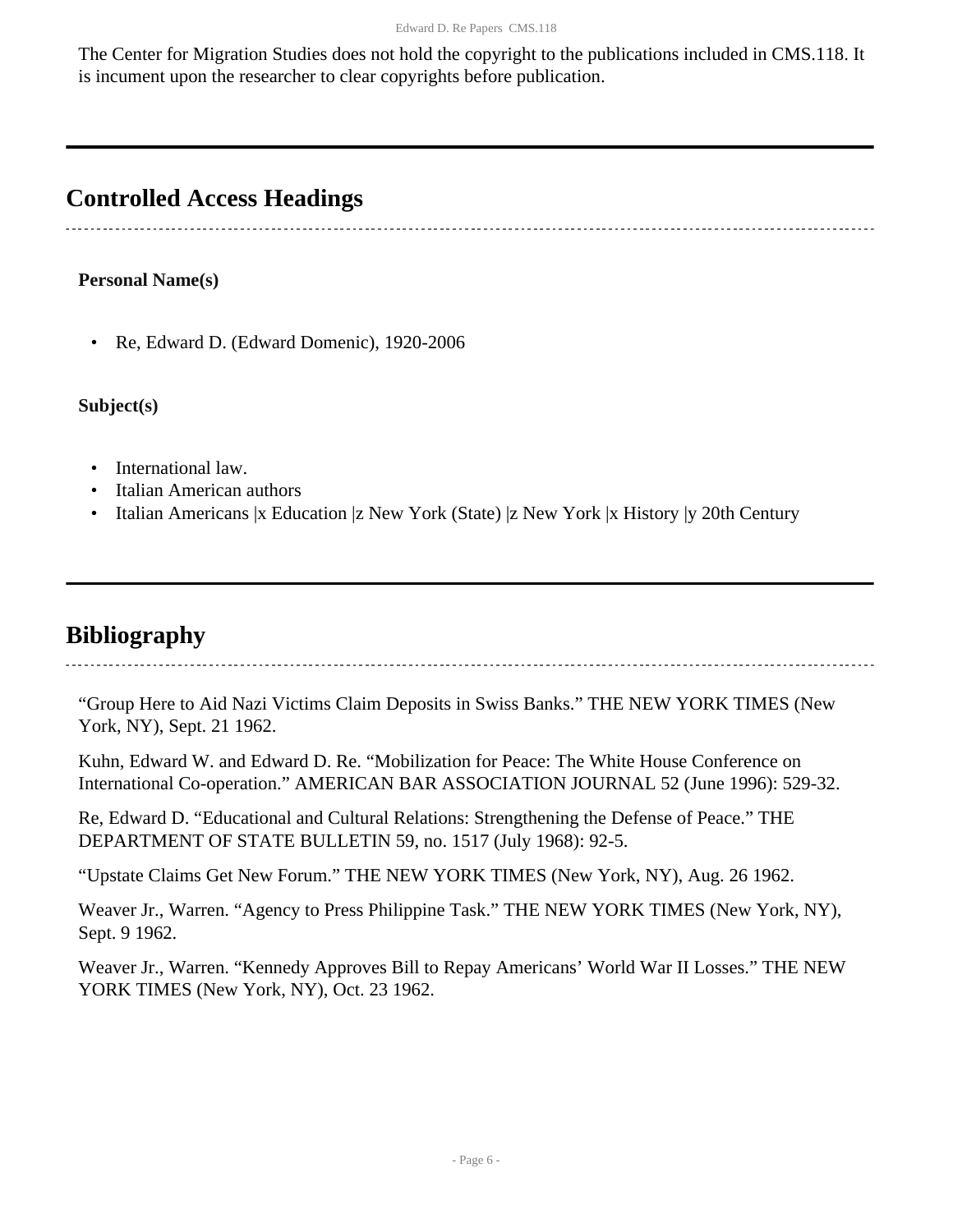The Center for Migration Studies does not hold the copyright to the publications included in CMS.118. It is incument upon the researcher to clear copyrights before publication.

### <span id="page-5-0"></span>**Controlled Access Headings**

#### **Personal Name(s)**

• Re, Edward D. (Edward Domenic), 1920-2006

**Subject(s)**

- International law.
- Italian American authors
- Italian Americans |x Education |z New York (State) |z New York |x History |y 20th Century

## <span id="page-5-1"></span>**Bibliography**

"Group Here to Aid Nazi Victims Claim Deposits in Swiss Banks." THE NEW YORK TIMES (New York, NY), Sept. 21 1962.

Kuhn, Edward W. and Edward D. Re. "Mobilization for Peace: The White House Conference on International Co-operation." AMERICAN BAR ASSOCIATION JOURNAL 52 (June 1996): 529-32.

Re, Edward D. "Educational and Cultural Relations: Strengthening the Defense of Peace." THE DEPARTMENT OF STATE BULLETIN 59, no. 1517 (July 1968): 92-5.

"Upstate Claims Get New Forum." THE NEW YORK TIMES (New York, NY), Aug. 26 1962.

Weaver Jr., Warren. "Agency to Press Philippine Task." THE NEW YORK TIMES (New York, NY), Sept. 9 1962.

Weaver Jr., Warren. "Kennedy Approves Bill to Repay Americans' World War II Losses." THE NEW YORK TIMES (New York, NY), Oct. 23 1962.